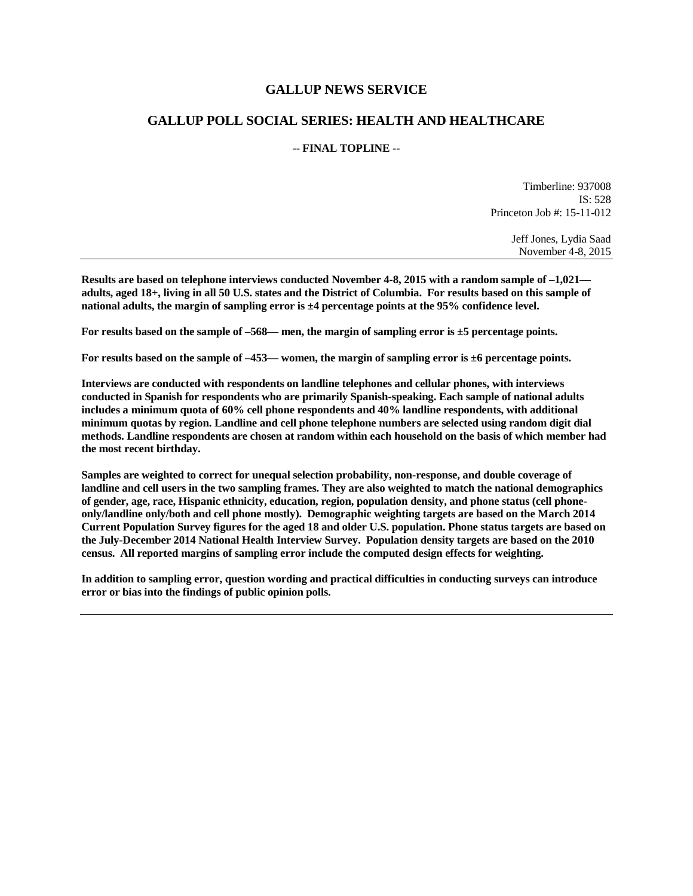## **GALLUP NEWS SERVICE**

## **GALLUP POLL SOCIAL SERIES: HEALTH AND HEALTHCARE**

#### **-- FINAL TOPLINE --**

Timberline: 937008 IS: 528 Princeton Job #: 15-11-012

> Jeff Jones, Lydia Saad November 4-8, 2015

**Results are based on telephone interviews conducted November 4-8, 2015 with a random sample of –1,021 adults, aged 18+, living in all 50 U.S. states and the District of Columbia. For results based on this sample of national adults, the margin of sampling error is ±4 percentage points at the 95% confidence level.** 

**For results based on the sample of –568— men, the margin of sampling error is ±5 percentage points.**

**For results based on the sample of –453— women, the margin of sampling error is ±6 percentage points.**

**Interviews are conducted with respondents on landline telephones and cellular phones, with interviews conducted in Spanish for respondents who are primarily Spanish-speaking. Each sample of national adults includes a minimum quota of 60% cell phone respondents and 40% landline respondents, with additional minimum quotas by region. Landline and cell phone telephone numbers are selected using random digit dial methods. Landline respondents are chosen at random within each household on the basis of which member had the most recent birthday.**

**Samples are weighted to correct for unequal selection probability, non-response, and double coverage of landline and cell users in the two sampling frames. They are also weighted to match the national demographics of gender, age, race, Hispanic ethnicity, education, region, population density, and phone status (cell phoneonly/landline only/both and cell phone mostly). Demographic weighting targets are based on the March 2014 Current Population Survey figures for the aged 18 and older U.S. population. Phone status targets are based on the July-December 2014 National Health Interview Survey. Population density targets are based on the 2010 census. All reported margins of sampling error include the computed design effects for weighting.** 

**In addition to sampling error, question wording and practical difficulties in conducting surveys can introduce error or bias into the findings of public opinion polls.**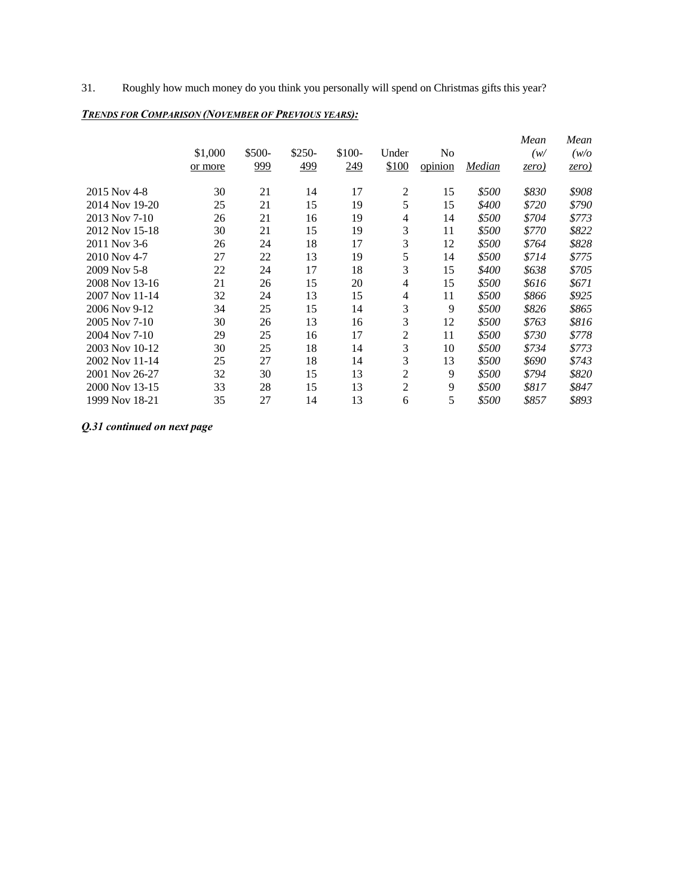31. Roughly how much money do you think you personally will spend on Christmas gifts this year?

|  | <b>TRENDS FOR COMPARISON (NOVEMBER OF PREVIOUS YEARS):</b> |
|--|------------------------------------------------------------|
|--|------------------------------------------------------------|

|                |         |        |        |        |                |         |        | Mean  | Mean  |
|----------------|---------|--------|--------|--------|----------------|---------|--------|-------|-------|
|                | \$1,000 | \$500- | \$250- | \$100- | Under          | No      |        | (w/   | (w/o) |
|                | or more | 999    | 499    | 249    | \$100          | opinion | Median | zero) | zero) |
| 2015 Nov 4-8   | 30      | 21     | 14     | 17     | $\overline{c}$ | 15      | \$500  | \$830 | \$908 |
| 2014 Nov 19-20 | 25      | 21     | 15     | 19     | 5              | 15      | \$400  | \$720 | \$790 |
| 2013 Nov 7-10  | 26      | 21     | 16     | 19     | 4              | 14      | \$500  | \$704 | \$773 |
| 2012 Nov 15-18 | 30      | 21     | 15     | 19     | 3              | 11      | \$500  | \$770 | \$822 |
| 2011 Nov 3-6   | 26      | 24     | 18     | 17     | 3              | 12      | \$500  | \$764 | \$828 |
| 2010 Nov 4-7   | 27      | 22     | 13     | 19     | 5              | 14      | \$500  | \$714 | \$775 |
| 2009 Nov 5-8   | 22      | 24     | 17     | 18     | 3              | 15      | \$400  | \$638 | \$705 |
| 2008 Nov 13-16 | 21      | 26     | 15     | 20     | 4              | 15      | \$500  | \$616 | \$671 |
| 2007 Nov 11-14 | 32      | 24     | 13     | 15     | 4              | 11      | \$500  | \$866 | \$925 |
| 2006 Nov 9-12  | 34      | 25     | 15     | 14     | 3              | 9       | \$500  | \$826 | \$865 |
| 2005 Nov 7-10  | 30      | 26     | 13     | 16     | 3              | 12      | \$500  | \$763 | \$816 |
| 2004 Nov 7-10  | 29      | 25     | 16     | 17     | $\mathbf{2}$   | 11      | \$500  | \$730 | \$778 |
| 2003 Nov 10-12 | 30      | 25     | 18     | 14     | 3              | 10      | \$500  | \$734 | \$773 |
| 2002 Nov 11-14 | 25      | 27     | 18     | 14     | 3              | 13      | \$500  | \$690 | \$743 |
| 2001 Nov 26-27 | 32      | 30     | 15     | 13     | 2              | 9       | \$500  | \$794 | \$820 |
| 2000 Nov 13-15 | 33      | 28     | 15     | 13     | $\overline{2}$ | 9       | \$500  | \$817 | \$847 |
| 1999 Nov 18-21 | 35      | 27     | 14     | 13     | 6              | 5       | \$500  | \$857 | \$893 |

*Q.31 continued on next page*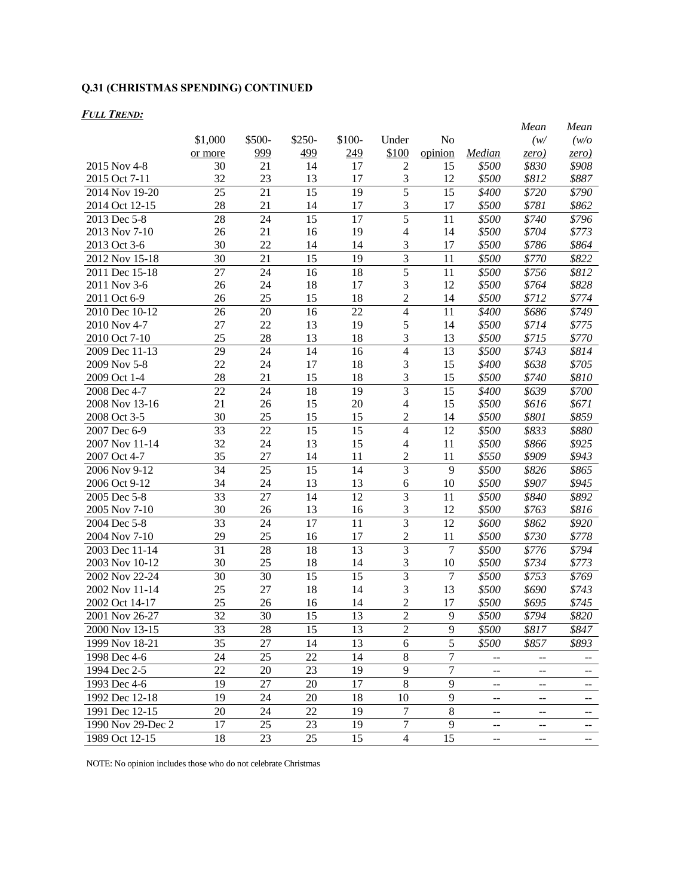# **Q.31 (CHRISTMAS SPENDING) CONTINUED**

### *FULL TREND:*

|                   |                 |        |                 |                 |                |                |                            | Mean                       | Mean                     |
|-------------------|-----------------|--------|-----------------|-----------------|----------------|----------------|----------------------------|----------------------------|--------------------------|
|                   | \$1,000         | \$500- | \$250-          | \$100-          | Under          | No             |                            | (w/                        | (w/o                     |
|                   | or more         | 999    | 499             | 249             | \$100          | opinion        | Median                     | zero)                      | zero)                    |
| 2015 Nov 4-8      | 30              | 21     | 14              | 17              | $\mathfrak{2}$ | 15             | \$500                      | \$830                      | \$908                    |
| 2015 Oct 7-11     | 32              | 23     | 13              | 17              | 3              | 12             | \$500                      | \$812                      | \$887                    |
| 2014 Nov 19-20    | 25              | 21     | 15              | 19              | 5              | 15             | \$400                      | \$720                      | \$790                    |
| 2014 Oct 12-15    | 28              | 21     | 14              | 17              | 3              | 17             | \$500                      | \$781                      | \$862                    |
| 2013 Dec 5-8      | 28              | 24     | 15              | 17              | $\overline{5}$ | 11             | \$500                      | \$740                      | \$796                    |
| 2013 Nov 7-10     | 26              | 21     | 16              | 19              | 4              | 14             | \$500                      | \$704                      | \$773                    |
| 2013 Oct 3-6      | 30              | 22     | 14              | 14              | 3              | 17             | \$500                      | \$786                      | \$864                    |
| 2012 Nov 15-18    | 30              | 21     | 15              | 19              | $\overline{3}$ | 11             | \$500                      | \$770                      | \$822                    |
| 2011 Dec 15-18    | 27              | 24     | 16              | 18              | 5              | 11             | \$500                      | \$756                      | \$812                    |
| 2011 Nov 3-6      | 26              | 24     | 18              | 17              | 3              | 12             | \$500                      | \$764                      | \$828                    |
| 2011 Oct 6-9      | 26              | 25     | 15              | 18              | $\overline{c}$ | 14             | \$500                      | \$712                      | \$774                    |
| 2010 Dec 10-12    | 26              | 20     | 16              | 22              | 4              | 11             | \$400                      | \$686                      | \$749                    |
| 2010 Nov 4-7      | 27              | 22     | 13              | 19              | 5              | 14             | \$500                      | \$714                      | \$775                    |
| 2010 Oct 7-10     | 25              | 28     | 13              | 18              | 3              | 13             | \$500                      | \$715                      | \$770                    |
| 2009 Dec 11-13    | 29              | 24     | 14              | 16              | 4              | 13             | \$500                      | \$743                      | \$814                    |
| 2009 Nov 5-8      | 22              | 24     | 17              | 18              | 3              | 15             | \$400                      | \$638                      | \$705                    |
| 2009 Oct 1-4      | 28              | 21     | 15              | 18              | 3              | 15             | \$500                      | \$740                      | \$810                    |
| 2008 Dec 4-7      | 22              | 24     | 18              | 19              | 3              | 15             | \$400                      | \$639                      | \$700                    |
| 2008 Nov 13-16    | 21              | 26     | 15              | 20              | 4              | 15             | \$500                      | \$616                      | \$671                    |
| 2008 Oct 3-5      | 30              | 25     | 15              | 15              | 2              | 14             | \$500                      | \$801                      | \$859                    |
| 2007 Dec 6-9      | 33              | 22     | 15              | 15              | 4              | 12             | \$500                      | \$833                      | \$880                    |
| 2007 Nov 11-14    | 32              | 24     | 13              | 15              | 4              | 11             | \$500                      | \$866                      | \$925                    |
| 2007 Oct 4-7      | 35              | 27     | 14              | 11              | 2              | 11             | \$550                      | \$909                      | \$943                    |
| 2006 Nov 9-12     | 34              | 25     | 15              | 14              | 3              | 9              | \$500                      | \$826                      | \$865                    |
| 2006 Oct 9-12     | 34              | 24     | 13              | 13              | 6              | 10             | \$500                      | \$907                      | \$945                    |
| 2005 Dec 5-8      | 33              | 27     | 14              | 12              | 3              | 11             | \$500                      | \$840                      | \$892                    |
| 2005 Nov 7-10     | 30              | 26     | 13              | 16              | 3              | 12             | \$500                      | \$763                      | \$816                    |
| 2004 Dec 5-8      | 33              | 24     | 17              | 11              | $\overline{3}$ | 12             | \$600                      | \$862                      | \$920                    |
| 2004 Nov 7-10     | 29              | 25     | 16              | 17              | $\overline{c}$ | 11             | \$500                      | \$730                      | \$778                    |
| 2003 Dec 11-14    | $\overline{31}$ | 28     | 18              | $\overline{13}$ | $\overline{3}$ | $\overline{7}$ | \$500                      | \$776                      | \$794                    |
| 2003 Nov 10-12    | 30              | 25     | 18              | 14              | 3              | 10             | \$500                      | \$734                      | \$773                    |
| 2002 Nov 22-24    | 30              | 30     | $\overline{15}$ | $\overline{15}$ | $\overline{3}$ | 7              | \$500                      | \$753                      | \$769                    |
| 2002 Nov 11-14    | 25              | 27     | 18              | 14              | 3              | 13             | \$500                      | \$690                      | \$743                    |
| 2002 Oct 14-17    | 25              | 26     | 16              | 14              | $\overline{c}$ | 17             | \$500                      | \$695                      | \$745                    |
| 2001 Nov 26-27    | 32              | 30     | 15              | 13              | $\overline{2}$ | 9              | \$500                      | \$794                      | \$820                    |
| 2000 Nov 13-15    | 33              | 28     | $\overline{15}$ | 13              | $\overline{2}$ | $\overline{9}$ | \$500                      | \$817                      | \$847                    |
| 1999 Nov 18-21    | 35              | 27     | 14              | 13              | 6              | 5              | \$500                      | \$857                      | \$893                    |
| 1998 Dec 4-6      | 24              | 25     | 22              | 14              | 8              | $\tau$         | $\overline{\phantom{a}}$   | $\overline{\phantom{a}}$   | $\overline{\phantom{a}}$ |
| 1994 Dec 2-5      | 22              | 20     | 23              | 19              | 9              | $\tau$         | $\overline{\phantom{a}}$ . | $\overline{\phantom{a}}$   | $\sim$ $\sim$            |
| 1993 Dec 4-6      | 19              | 27     | 20              | 17              | 8              | 9              | $\overline{\phantom{a}}$   | $\overline{\phantom{a}}$   | 44                       |
| 1992 Dec 12-18    | 19              | 24     | 20              | 18              | 10             | 9              |                            |                            |                          |
| 1991 Dec 12-15    |                 | 24     | 22              | 19              | 7              | 8              | $\overline{\phantom{a}}$ . | $\overline{\phantom{a}}$   | $\sim$ $\sim$            |
| 1990 Nov 29-Dec 2 | 20              |        |                 |                 | $\overline{7}$ | 9              | $\overline{\phantom{a}}$   | $\overline{\phantom{a}}$   | 44                       |
|                   | 17              | 25     | 23              | 19              |                |                | $\overline{\phantom{a}}$   | $\overline{\phantom{a}}$ . | $\sim$ $\sim$            |
| 1989 Oct 12-15    | 18              | 23     | 25              | 15              | $\overline{4}$ | 15             | $\mathbb{L}^{\perp}$       | $\mathbb{H}^{\perp}$       | $\sim$ $\sim$            |

NOTE: No opinion includes those who do not celebrate Christmas